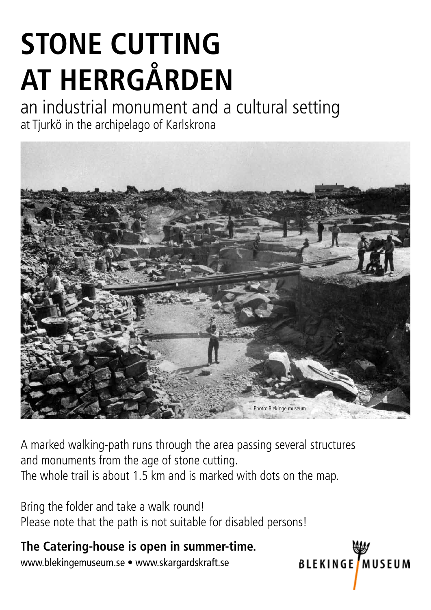# **Stone cutting at Herrgården**

an industrial monument and a cultural setting at Tjurkö in the archipelago of Karlskrona



A marked walking-path runs through the area passing several structures and monuments from the age of stone cutting. The whole trail is about 1.5 km and is marked with dots on the map.

**BLEKINGE** MUSEUM

Bring the folder and take a walk round! Please note that the path is not suitable for disabled persons!

**The Catering-house is open in summer-time.**

www.blekingemuseum.se • www.skargardskraft.se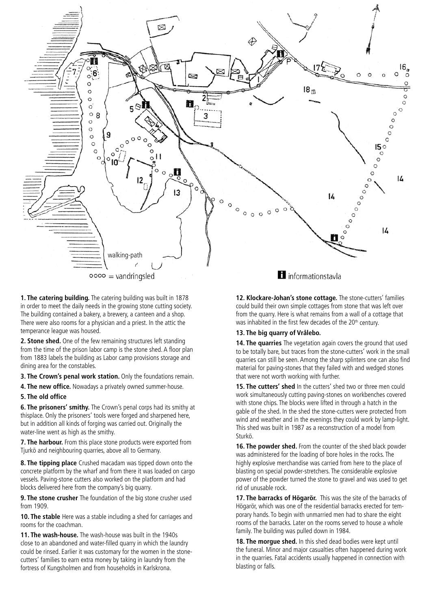

**1. The catering building.** The catering building was built in 1878 in order to meet the daily needs in the growing stone cutting society. The building contained a bakery, a brewery, a canteen and a shop. There were also rooms for a physician and a priest. In the attic the temperance league was housed.

**2. Stone shed.** One of the few remaining structures left standing from the time of the prison labor camp is the stone shed. A floor plan from 1883 labels the building as Labor camp provisions storage and dining area for the constables.

**3. The Crown's penal work station.** Only the foundations remain.

**4. The new office.** Nowadays a privately owned summer-house.

#### **5. The old office**

**6. The prisoners' smithy.** The Crown's penal corps had its smithy at thisplace. Only the prisoners' tools were forged and sharpened here, but in addition all kinds of forging was carried out. Originally the water-line went as high as the smithy.

**7. The harbour.** From this place stone products were exported from Tjurkö and neighbouring quarries, above all to Germany.

**8. The tipping place** Crushed macadam was tipped down onto the concrete platform by the wharf and from there it was loaded on cargo vessels. Paving-stone cutters also worked on the platform and had blocks delivered here from the company's big quarry.

**9. The stone crusher** The foundation of the big stone crusher used from 1909.

**10. The stable** Here was a stable including a shed for carriages and rooms for the coachman.

**11. The wash-house.** The wash-house was built in the 1940s close to an abandoned and water-filled quarry in which the laundry could be rinsed. Earlier it was customary for the women in the stonecutters' families to earn extra money by taking in laundry from the fortress of Kungsholmen and from households in Karlskrona.

**12. Klockare-Johan's stone cottage.** The stone-cutters' families could build their own simple cottages from stone that was left over from the quarry. Here is what remains from a wall of a cottage that was inhabited in the first few decades of the 20<sup>th</sup> century.

#### **13. The big quarry of Vrålebo.**

**14. The quarries** The vegetation again covers the ground that used to be totally bare, but traces from the stone-cutters' work in the small quarries can still be seen. Among the sharp splinters one can also find material for paving-stones that they failed with and wedged stones that were not worth working with further.

**15. The cutters' shed** In the cutters' shed two or three men could work simultaneously cutting paving-stones on workbenches covered with stone chips. The blocks were lifted in through a hatch in the gable of the shed. In the shed the stone-cutters were protected from wind and weather and in the evenings they could work by lamp-light. This shed was built in 1987 as a reconstruction of a model from Sturkö.

**16. The powder shed.** From the counter of the shed black powder was administered for the loading of bore holes in the rocks. The highly explosive merchandise was carried from here to the place of blasting on special powder-stretchers. The considerable explosive power of the powder turned the stone to gravel and was used to get rid of unusable rock.

**17. The barracks of Högarör.** This was the site of the barracks of Högarör, which was one of the residential barracks erected for temporary hands. To begin with unmarried men had to share the eight rooms of the barracks. Later on the rooms served to house a whole family. The building was pulled down in 1984.

**18. The morgue shed.** In this shed dead bodies were kept until the funeral. Minor and major casualties often happened during work in the quarries. Fatal accidents usually happened in connection with blasting or falls.